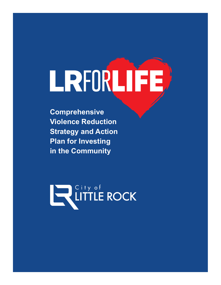# LRFORLIFE

**Comprehensive Violence Reduction Strategy and Action Plan for Investing in the Community**

**EN City of LITTLE ROCK**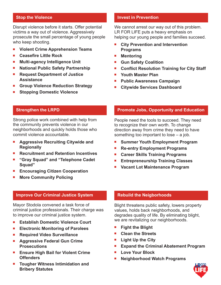Disrupt violence before it starts. Offer potential victims a way out of violence. Aggressively prosecute the small percentage of young people who keep shooting.

- **Violent Crime Apprehension Teams**
- Ceasefire Little Rock
- **Multi-agency Intelligence Unit**
- **National Public Safety Partnership**
- ■ **Request Department of Justice Assistance**
- Group Violence Reduction Strategy
- **Stopping Domestic Violence**

# **Invest in Prevention**

We cannot arrest our way out of this problem. LR FOR LIFE puts a heavy emphasis on helping our young people and families succeed.

- City Prevention and Intervention **Programs**
- **Mentoring**
- Gun Safety Coalition
- Conflict Resolution Training for City Staff
- Youth Master Plan
- **Public Awareness Campaign**
- Citywide Services Dashboard

# **Strengthen the LRPD**

Strong police work combined with help from the community prevents violence in our neighborhoods and quickly holds those who commit violence accountable.

- **Aggressive Recruiting Citywide and Regionally**
- **Recruitment and Retention Incentives**
- ■ **"Gray Squad" and "Telephone Cadet Squad"**
- **Encouraging Citizen Cooperation**
- **More Community Policing**

# **Improve Our Criminal Justice System**

Mayor Stodola convened a task force of criminal justice professionals. Their charge was to improve our criminal justice system.

- ■ **Establish Domestic Violence Court**
- ■ **Electronic Monitoring of Parolees**
- **Required Video Surveillance**
- **Aggressive Federal Gun Crime Prosecutions**
- **Ensure High Bail for Violent Crime Offenders**
- **Tougher Witness Intimidation and Bribery Statutes**

# **Promote Jobs, Opportunity and Education**

People need the tools to succeed. They need to recognize their own worth. To change direction away from crime they need to have something too important to lose – a job.

- **Summer Youth Employment Program**
- ■ **Re-entry Employment Programs**
- ■ **Career Skills Training Programs**
- **Entrepreneurship Training Classes**
- Vacant Lot Maintenance Program

# **Rebuild the Neigborhoods**

Blight threatens public safety, lowers property values, holds back neighborhoods, and degrades quality of life. By eliminating blight, we are revitalizing our neighborhoods.

- **Fight the Blight**
- ■ **Clean the Streets**
- **Light Up the City**
- **Expand the Criminal Abatement Program**
- ■ **Love Your Block**
- **Neighborhood Watch Programs**

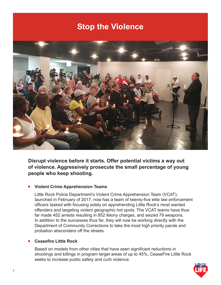

**Disrupt violence before it starts. Offer potential victims a way out of violence. Aggressively prosecute the small percentage of young people who keep shooting.** 

# **Violent Crime Apprehension Teams**

Little Rock Police Department's Violent Crime Apprehension Team (VCAT), launched in February of 2017, now has a team of twenty-five elite law enforcement officers tasked with focusing solely on apprehending Little Rock's most wanted offenders and targeting violent geographic hot spots. The VCAT teams have thus far made 452 arrests resulting in 852 felony charges, and seized 79 weapons. In addition to the successes thus far, they will now be working directly with the Department of Community Corrections to take the most high priority parole and probation absconders off the streets.

#### **Ceasefire Little Rock**

Based on models from other cities that have seen significant reductions in shootings and killings in program target areas of up to 45%, CeaseFire Little Rock seeks to increase public safety and curb violence.

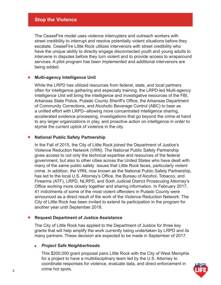The CeaseFire model uses violence interrupters and outreach workers with street credibility to interrupt and resolve potentially violent situations before they escalate. CeaseFire Little Rock utilizes intervenors with street credibility who have the unique ability to directly engage disconnected youth and young adults to intervene in disputes before they turn violent and to provide access to wraparound services. A pilot program has been implemented and additional intervenors are being added.

#### ■ **Multi-agency Intelligence Unit**

While the LRPD has utilized resources from federal, state, and local partners often for intelligence gathering and especially training, the LRPD-led Multi-agency Intelligence Unit will bring the intelligence and investigative resources of the FBI, Arkansas State Police, Pulaski County Sheriff's Office, the Arkansas Department of Community Corrections, and Alcoholic Beverage Control (ABC) to bear as a unified effort with LRPD--allowing more concentrated intelligence sharing, accelerated evidence processing, investigations that go beyond the crime at hand to any larger organizations in play, and proactive action on intelligence in order to stymie the current uptick of violence in the city.

# ■ **National Public Safety Partnership**

In the Fall of 2015, the City of Little Rock joined the Department of Justice's Violence Reduction Network (VRN). The National Public Safety Partnership gives access to not only the technical expertise and resources of the federal government, but also to other cities across the United States who have dealt with many of the same public safety issues that Little Rock faces, particularly violent crime. In addition, the VRN, now known as the National Public Safety Partnership, has led to the local U.S. Attorney's Office, the Bureau of Alcohol, Tobacco, and Firearms (ATF), LRPD, NLRPD, and Sixth Judicial District Prosecuting Attorney's Office working more closely together and sharing information. In February 2017, 41 indictments of some of the most violent offenders in Pulaski County were announced as a direct result of the work of the Violence Reduction Network. The City of Little Rock has been invited to extend its participation in the program for another year until September 2018.

#### ■ **Request Department of Justice Assistance**

The City of Little Rock has applied to the Department of Justice for three key grants that will help amplify the work currently being undertaken by LRPD and its many partners. These decision are expected to be made in September of 2017.

#### *Project Safe Neighborhoods*

 This \$200,000 grant proposal pairs Little Rock with the City of West Memphis for a project to have a multidisciplinary team led by the U.S. Attorney to coordinate responses for violence, evaluate data, and direct enforcement in crime hot spots.

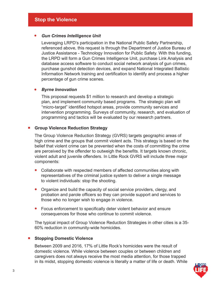# *Gun Crimes Intelligence Unit*

 Leveraging LRPD's participation in the National Public Safety Partnership, referenced above, this request is through the Department of Justice Bureau of Justice Assistance - Technology Innovation for Public Safety. With this funding, the LRPD will form a Gun Crimes Intelligence Unit, purchase Link Analysis and database access software to conduct social network analysis of gun crimes, purchase gunshot detection devices, and expand National Integrated Ballistic Information Network training and certification to identify and process a higher percentage of gun crime scenes.

# *Byrne Innovation*

 This proposal requests \$1 million to research and develop a strategic plan, and implement community based programs. The strategic plan will "micro-target" identified hotspot areas, provide community services and intervention programming. Surveys of community, research, and evaluation of programming and tactics will be evaluated by our research partners.

# **Group Violence Reduction Strategy**

The Group Violence Reduction Strategy (GVRS) targets geographic areas of high crime and the groups that commit violent acts. This strategy is based on the belief that violent crime can be prevented when the costs of committing the crime are perceived by the offender to outweigh the benefits. It targets known chronic, violent adult and juvenile offenders. In Little Rock GVRS will include three major components:

- Collaborate with respected members of affected communities along with representatives of the criminal justice system to deliver a single message to violent individuals: stop the shooting.
- Organize and build the capacity of social service providers, clergy, and probation and parole officers so they can provide support and services to those who no longer wish to engage in violence.
- Focus enforcement to specifically deter violent behavior and ensure consequences for those who continue to commit violence.

The typical impact of Group Violence Reduction Strategies in other cities is a 35- 60% reduction in community-wide homicides.

# ■ **Stopping Domestic Violence**

Between 2009 and 2016, 17% of Little Rock's homicides were the result of domestic violence. While violence between couples or between children and caregivers does not always receive the most media attention, for those trapped in its midst, stopping domestic violence is literally a matter of life or death. While

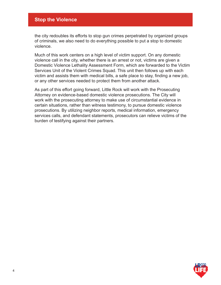the city redoubles its efforts to stop gun crimes perpetrated by organized groups of criminals, we also need to do everything possible to put a stop to domestic violence.

Much of this work centers on a high level of victim support. On any domestic violence call in the city, whether there is an arrest or not, victims are given a Domestic Violence Lethality Assessment Form, which are forwarded to the Victim Services Unit of the Violent Crimes Squad. This unit then follows up with each victim and assists them with medical bills, a safe place to stay, finding a new job, or any other services needed to protect them from another attack.

As part of this effort going forward, Little Rock will work with the Prosecuting Attorney on evidence-based domestic violence prosecutions. The City will work with the prosecuting attorney to make use of circumstantial evidence in certain situations, rather than witness testimony, to pursue domestic violence prosecutions. By utilizing neighbor reports, medical information, emergency services calls, and defendant statements, prosecutors can relieve victims of the burden of testifying against their partners.

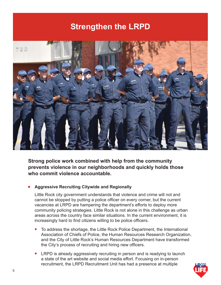# **Strengthen the LRPD**



**Strong police work combined with help from the community prevents violence in our neighborhoods and quickly holds those who commit violence accountable.**

# ■ **Aggressive Recruiting Citywide and Regionally**

Little Rock city government understands that violence and crime will not and cannot be stopped by putting a police officer on every corner, but the current vacancies at LRPD are hampering the department's efforts to deploy more community policing strategies. Little Rock is not alone in this challenge as urban areas across the country face similar situations. In the current environment, it is increasingly hard to find citizens willing to be police officers.

- To address the shortage, the Little Rock Police Department, the International Association of Chiefs of Police, the Human Resources Research Organization, and the City of Little Rock's Human Resources Department have transformed the City's process of recruiting and hiring new officers.
- LRPD is already aggressively recruiting in person and is readying to launch a state of the art website and social media effort. Focusing on in-person recruitment, the LRPD Recruitment Unit has had a presence at multiple

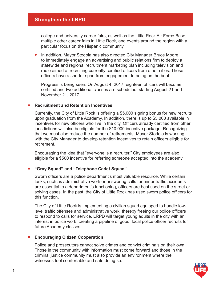# **Strengthen the LRPD**

college and university career fairs, as well as the Little Rock Air Force Base, multiple other career fairs in Little Rock, and events around the region with a particular focus on the Hispanic community.

 In addition, Mayor Stodola has also directed City Manager Bruce Moore to immediately engage an advertising and public relations firm to deploy a statewide and regional recruitment marketing plan including television and radio aimed at recruiting currently certified officers from other cities. These officers have a shorter span from engagement to being on the beat.

Progress is being seen. On August 4, 2017, eighteen officers will become certified and two additional classes are scheduled, starting August 21 and November 21, 2017.

#### **Recruitment and Retention Incentives**

Currently, the City of Little Rock is offering a \$5,000 signing bonus for new recruits upon graduation from the Academy. In addition, there is up to \$5,000 available in incentives for new officers who live in the city. Officers already certified from other jurisdictions will also be eligible for the \$10,000 incentive package. Recognizing that we must also reduce the number of retirements, Mayor Stodola is working with the City Manager to develop retention incentives to retain officers eligible for retirement.

Encouraging the idea that "everyone is a recruiter," City employees are also eligible for a \$500 incentive for referring someone accepted into the academy.

#### ■ **"Gray Squad" and "Telephone Cadet Squad"**

Sworn officers are a police department's most valuable resource. While certain tasks, such as administrative work or answering calls for minor traffic accidents are essential to a department's functioning, officers are best used on the street or solving cases. In the past, the City of Little Rock has used sworn police officers for this function.

The City of Little Rock is implementing a civilian squad equipped to handle lowlevel traffic offenses and administrative work, thereby freeing our police officers to respond to calls for service. LRPD will target young adults in the city with an interest in police work, creating a pipeline of good, local police officer recruits for future Academy classes.

#### ■ **Encouraging Citizen Cooperation**

Police and prosecutors cannot solve crimes and convict criminals on their own. Those in the community with information must come forward and those in the criminal justice community must also provide an environment where the witnesses feel comfortable and safe doing so.

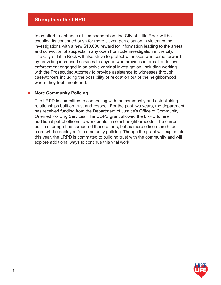In an effort to enhance citizen cooperation, the City of Little Rock will be coupling its continued push for more citizen participation in violent crime investigations with a new \$10,000 reward for information leading to the arrest and conviction of suspects in any open homicide investigation in the city. The City of Little Rock will also strive to protect witnesses who come forward by providing increased services to anyone who provides information to law enforcement engaged in an active criminal investigation, including working with the Prosecuting Attorney to provide assistance to witnesses through caseworkers including the possibility of relocation out of the neighborhood where they feel threatened.

# ■ More Community Policing

The LRPD is committed to connecting with the community and establishing relationships built on trust and respect. For the past two years, the department has received funding from the Department of Justice's Office of Community Oriented Policing Services. The COPS grant allowed the LRPD to hire additional patrol officers to work beats in select neighborhoods. The current police shortage has hampered these efforts, but as more officers are hired, more will be deployed for community policing. Though the grant will expire later this year, the LRPD is committed to building trust with the community and will explore additional ways to continue this vital work.

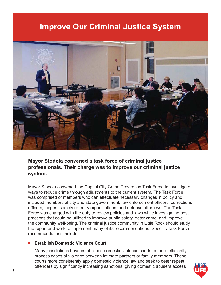# **Improve Our Criminal Justice System**



**Mayor Stodola convened a task force of criminal justice professionals. Their charge was to improve our criminal justice system.**

Mayor Stodola convened the Capital City Crime Prevention Task Force to investigate ways to reduce crime through adjustments to the current system. The Task Force was comprised of members who can effectuate necessary changes in policy and included members of city and state government, law enforcement officers, corrections officers, judges, society re-entry organizations, and defense attorneys. The Task Force was charged with the duty to review policies and laws while investigating best practices that could be utilized to improve public safety, deter crime, and improve the community well-being. The criminal justice community in Little Rock should study the report and work to implement many of its recommendations. Specific Task Force recommendations include:

#### **Establish Domestic Violence Court**

Many jurisdictions have established domestic violence courts to more efficiently process cases of violence between intimate partners or family members. These courts more consistently apply domestic violence law and seek to deter repeat offenders by significantly increasing sanctions, giving domestic abusers access

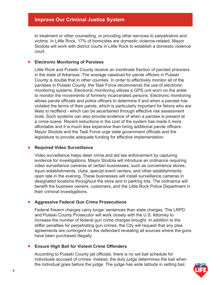# **Improve Our Criminal Justice System**

to treatment or other counseling, or providing other services to perpetrators and victims. In Little Rock, 17% of homicides are domestic violence-related. Mayor Stodola will work with district courts in Little Rock to establish a domestic violence court.

# ■ **Electronic Monitoring of Parolees**

Little Rock and Pulaski County receive an inordinate fraction of paroled prisoners in the state of Arkansas. The average caseload for parole officers in Pulaski County is double that in other counties. In order to effectively monitor all of the parolees in Pulaski County, the Task Force recommends the use of electronic monitoring systems. Electronic monitoring utilizes a GPS unit worn on the ankle to monitor the movements of formerly incarcerated persons. Electronic monitoring allows parole officials and police officers to determine if and when a parolee has violated the terms of their parole, which is particularly important for felons who are likely to reoffend - which can be ascertained through effective risk assessment tools. Such systems can also provide evidence of when a parolee is present at a crime scene. Recent reductions in the cost of the system has made it more affordable and it is much less expensive than hiring additional parole officers. Mayor Stodola and the Task Force urge state government officials and the legislature to provide adequate funding for effective implementation.

# ■ **Required Video Surveillance**

Video surveillance helps deter crime and aid law enforcement by capturing evidence for investigations. Mayor Stodola will introduce an ordinance requiring video surveillance cameras at certain businesses, such as convenience stores, liquor establishments, clubs, special event centers, and other establishments open late in the evening. These businesses will install surveillance cameras in designated locations throughout the store and in parking lots. The ordinance will benefit the business owners, customers, and the Little Rock Police Department in their criminal investigations.

# ■ **Aggressive Federal Gun Crime Prosecutions**

Federal firearm charges carry longer sentences than state charges. The LRPD and Pulaski County Prosecutor will work closely with the U.S. Attorney to increase the number of federal gun crime charges brought. In addition to the stiffer penalties for perpetrating gun crimes, the City will request that any plea agreements are contingent on the defendant revealing all sources where the guns have been purchased illegally.

# ■ **Ensure High Bail for Violent Crime Offenders**

According to Pulaski County jail officials, there is no set bail schedule for individuals accused of crimes. Instead, the duty judge determines the bail when the individual goes before the judge. The judge has wide latitude in setting bail.

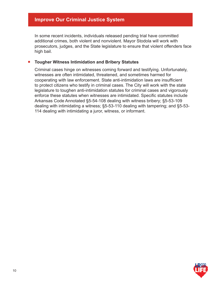# **Improve Our Criminal Justice System**

In some recent incidents, individuals released pending trial have committed additional crimes, both violent and nonviolent. Mayor Stodola will work with prosecutors, judges, and the State legislature to ensure that violent offenders face high bail.

# ■ **Tougher Witness Intimidation and Bribery Statutes**

Criminal cases hinge on witnesses coming forward and testifying. Unfortunately, witnesses are often intimidated, threatened, and sometimes harmed for cooperating with law enforcement. State anti-intimidation laws are insufficient to protect citizens who testify in criminal cases. The City will work with the state legislature to toughen anti-intimidation statutes for criminal cases and vigorously enforce these statutes when witnesses are intimidated. Specific statutes include Arkansas Code Annotated §5-54-108 dealing with witness bribery; §5-53-109 dealing with intimidating a witness; §5-53-110 dealing with tampering; and §5-53- 114 dealing with intimidating a juror, witness, or informant.

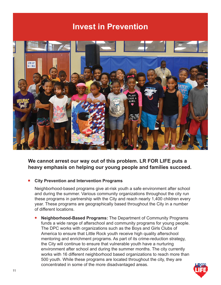# **Invest in Prevention**



**We cannot arrest our way out of this problem. LR FOR LIFE puts a heavy emphasis on helping our young people and families succeed.**

# **City Prevention and Intervention Programs**

Neighborhood-based programs give at-risk youth a safe environment after school and during the summer. Various community organizations throughout the city run these programs in partnership with the City and reach nearly 1,400 children every year. These programs are geographically based throughout the City in a number of different locations.

 **Neighborhood-Based Programs:** The Department of Community Programs funds a wide range of afterschool and community programs for young people. The DPC works with organizations such as the Boys and Girls Clubs of America to ensure that Little Rock youth receive high quality afterschool mentoring and enrichment programs. As part of its crime-reduction strategy, the City will continue to ensure that vulnerable youth have a nurturing environment after school and during the summer months. The city currently works with 16 different neighborhood based organizations to reach more than 500 youth. While these programs are located throughout the city, they are concentrated in some of the more disadvantaged areas.

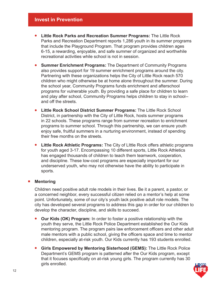- **Little Rock Parks and Recreation Summer Programs:** The Little Rock Parks and Recreation Department reports 1,286 youth in its summer programs that include the Playground Program. That program provides children ages 6-15, a rewarding, enjoyable, and safe summer of organized and worthwhile recreational activities while school is not in session.
- **Summer Enrichment Programs:** The Department of Community Programs also provides support for 19 summer enrichment programs around the city. Partnering with these organizations helps the City of Little Rock reach 570 children who might otherwise be at home alone throughout the summer. During the school year, Community Programs funds enrichment and afterschool programs for vulnerable youth. By providing a safe place for children to learn and play after school, Community Programs helps children to stay in school- and off the streets.
- **Little Rock School District Summer Programs:** The Little Rock School District, in partnership with the City of Little Rock, hosts summer programs in 22 schools. These programs range from summer recreation to enrichment programs to summer school. Through this partnership, we can ensure youth enjoy safe, fruitful summers in a nurturing environment, instead of spending their free months on the streets.
- **Little Rock Athletic Programs:** The City of LIttle Rock offers athletic programs for youth aged 3-17. Encompassing 10 different sports, Little Rock Athletics has engaged thousands of children to teach them teamwork, cooperation, and discipline. These low-cost programs are especially important for our underserved youth, who may not otherwise have the ability to participate in sports.

# ■ **Mentoring**

Children need positive adult role models in their lives. Be it a parent, a pastor, or a concerned neighbor, every successful citizen relied on a mentor's help at some point. Unfortunately, some of our city's youth lack positive adult role models. The city has developed several programs to address this gap in order for our children to develop the character, discipline, and skills to succeed.

- **Our Kids (OK) Program:** In order to foster a positive relationship with the youth they serve, the Little Rock Police Department established the Our Kids mentoring program. The program pairs law enforcement officers and other adult male mentors with a public school, giving the officers space and time to mentor children, especially at-risk youth. Our Kids currently has 193 students enrolled.
- **Girls Empowered by Mentoring Sisterhood (GEMS):** The Little Rock Police Department's GEMS program is patterned after the Our Kids program, except that it focuses specifically on at-risk young girls. The program currently has 30 girls enrolled.

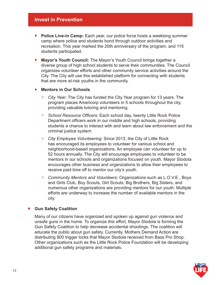# **Invest in Prevention**

- **Police Live-in Camp:** Each year, our police force hosts a weeklong summer camp where police and students bond through outdoor activities and recreation. This year marked the 20th anniversary of the program, and 115 students participated.
- **Mayor's Youth Council:** The Mayor's Youth Council brings together a diverse group of high school students to serve their communities. The Council organizes volunteer efforts and other community service activities around the City. The City will use this established platform for connecting with students that are more at-risk youths in the community.

#### **Mentors in Our Schools**

- *City Year:* The City has funded the City Year program for 13 years. The program places Americorp volunteers in 5 schools throughout the city, providing valuable tutoring and mentoring.
- **<sup>o</sup>** School Resource Officers: Each school day, twenty Little Rock Police Department officers work in our middle and high schools, providing students a chance to interact with and learn about law enforcement and the criminal justice system.
- *City Employee Volunteering:* Since 2013, the City of Little Rock has encouraged its employees to volunteer for various school and neighborhood-based organizations. An employee can volunteer for up to 52 hours annually. The City will encourage employees to volunteer to be mentors in our schools and organizations focused on youth. Mayor Stodola encourages other business and organizations to allow their employees to receive paid time off to mentor our city's youth.
- *Community Mentors and Volunteers:* Organizations such as L.O.V.E., Boys and Girls Club, Boy Scouts, Girl Scouts, Big Brothers, Big Sisters, and numerous other organizations are providing mentors for our youth. Multiple efforts are underway to increase the number of available mentors in the city.

# ■ **Gun Safety Coalition**

Many of our citizens have organized and spoken up against gun violence and unsafe guns in the home. To organize this effort, Mayor Stodola is forming the Gun Safety Coalition to help decrease accidental shootings. The coalition will educate the public about gun safety. Currently, Mothers Demand Action are distributing 800 trigger locks that Mayor Stodola received from Bass Pro Shop. Other organizations such as the Little Rock Police Foundation will be developing additional gun safety programs and materials.

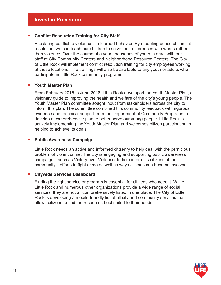# ■ Conflict Resolution Training for City Staff

Escalating conflict to violence is a learned behavior. By modeling peaceful conflict resolution, we can teach our children to solve their differences with words rather than violence. Over the course of a year, thousands of youth interact with our staff at City Community Centers and Neighborhood Resource Centers. The City of Little Rock will implement conflict resolution training for city employees working at these locations. The trainings will also be available to any youth or adults who participate in Little Rock community programs.

#### ■ **Youth Master Plan**

From February 2015 to June 2016, Little Rock developed the Youth Master Plan, a visionary guide to improving the health and welfare of the city's young people. The Youth Master Plan committee sought input from stakeholders across the city to inform this plan. The committee combined this community feedback with rigorous evidence and technical support from the Department of Community Programs to develop a comprehensive plan to better serve our young people. Little Rock is actively implementing the Youth Master Plan and welcomes citizen participation in helping to achieve its goals.

# **Public Awareness Campaign**

 Little Rock needs an active and informed citizenry to help deal with the pernicious problem of violent crime. The city is engaging and supporting public awareness campaigns, such as Victory over Violence, to help inform its citizens of the community's efforts to fight crime as well as ways citiznes can become involved.

# ■ Citywide Services Dashboard

Finding the right service or program is essential for citizens who need it. While Little Rock and numerous other organizations provide a wide range of social services, they are not all comprehensively listed in one place. The City of Little Rock is developing a mobile-friendly list of all city and community services that allows citizens to find the resources best suited to their needs.

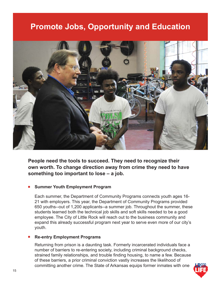# **Promote Jobs, Opportunity and Education**



**People need the tools to succeed. They need to recognize their own worth. To change direction away from crime they need to have something too important to lose – a job.** 

# **Summer Youth Employment Program**

 Each summer, the Department of Community Programs connects youth ages 16- 21 with employers. This year, the Department of Community Programs provided 650 youths--out of 1,200 applicants--a summer job. Throughout the summer, these students learned both the technical job skills and soft skills needed to be a good employee. The City of Little Rock will reach out to the business community and expand this already successful program next year to serve even more of our city's youth.

# **Re-entry Employment Programs**

Returning from prison is a daunting task. Formerly incarcerated individuals face a number of barriers to re-entering society, including criminal background checks, strained family relationships, and trouble finding housing, to name a few. Because of these barriers, a prior criminal conviction vastly increases the likelihood of committing another crime. The State of Arkansas equips former inmates with one

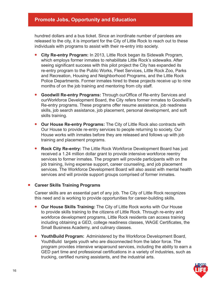# **Promote Jobs, Opportunity and Education**

hundred dollars and a bus ticket. Since an inordinate number of parolees are released to the city, it is important for the City of Little Rock to reach out to these individuals with programs to assist with their re-entry into society.

- **City Re-entry Program:** In 2013, Little Rock began its Sidewalk Program, which employs former inmates to rehabilitate Little Rock's sidewalks. After seeing significant success with this pilot project the City has expanded its re-entry program to the Public Works, Fleet Services, Little Rock Zoo, Parks and Recreation, Housing and Neighborhood Programs, and the Little Rock Police Departments. Former inmates hired to these projects receive up to nine months of on the job training and mentoring from city staff.
- **Goodwill Re-entry Programs:** Through ourOffice of Re-entry Services and ourWorkforce Development Board, the City refers former inmates to Goodwill's Re-entry programs. These programs offer resume assistance, job readiness skills, job search assistance, job placement, personal development, and soft skills training.
- **Our House Re-entry Programs:** The City of Little Rock also contracts with Our House to provide re-entry services to people returning to society. Our House works with inmates before they are released and follows up with job training and placement programs.
- **Rock City Re-entry:** The Little Rock Workforce Development Board has just received a 1.24 million dollar grant to provide intensive workforce reentry services to former inmates. The program will provide participants with on the job training, living expense support, career counseling, and job placement services. The Workforce Development Board will also assist with mental health services and will provide support groups comprised of former inmates.

# ■ **Career Skills Training Programs**

Career skills are an essential part of any job. The City of Little Rock recognizes this need and is working to provide opportunities for career-building skills.

- **Our House Skills Training:** The City of Little Rock works with Our House to provide skills training to the citizens of Little Rock. Through re-entry and workforce development programs, Little Rock residents can access training including obtaining a GED, college readiness classes, WAGE Certificates, the Small Business Academy, and culinary classes.
- **YouthBuild Program:** Administered by the Workforce Development Board, YouthBuild targets youth who are disconnected from the labor force. The program provides intensive wraparound services, including the ability to earn a GED part time and professional certifications in a variety of industries, such as trucking, certified nursing assistants, and the industrial arts.

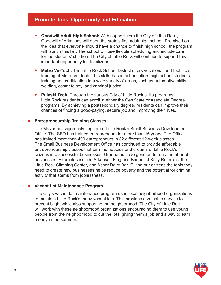# **Promote Jobs, Opportunity and Education**

- **Goodwill Adult High School:** With support from the City of Little Rock, Goodwill of Arkansas will open the state's first adult high school. Premised on the idea that everyone should have a chance to finish high school, the program will launch this fall. The school will use flexible scheduling and include care for the students' children. The City of Little Rock will continue to support this important opportunity for its citizens.
- **Metro Vo-Tech:** The Little Rock School District offers vocational and technical training at Metro Vo-Tech. This skills-based school offers high school students training and certification in a wide variety of areas, such as automotive skills, welding, cosmetology, and criminal justice.
- **Pulaski Tech:** Through the various City of Little Rock skills programs, Little Rock residents can enroll in either the Certificate or Associate Degree programs. By achieving a postsecondary degree, residents can improve their chances of finding a good-paying, secure job and improving their lives.

# **Entrepreneurship Training Classes**

The Mayor has vigorously supported Little Rock's Small Business Development Office. The SBD has trained entrepreneurs for more than 15 years. The Office has trained more than 400 entrepreneurs in 32 different 12-week classes. The Small Business Development Office has continued to provide affordable entrepreneurship classes that turn the hobbies and dreams of Little Rock's citizens into successful businesses. Graduates have gone on to run a number of businesses. Examples include Arkansas Flag and Banner, J Kelly Referrals, the Little Rock Climbing Center, and Asher Dairy Bar. Giving our citizens the tools they need to create new businesses helps reduce poverty and the potential for criminal activity that stems from joblessness.

# ■ Vacant Lot Maintenance Program

The City's vacant lot maintenance program uses local neighborhood organizations to maintain Little Rock's many vacant lots. This provides a valuable service to prevent blight while also supporting the neighborhood. The City of Little Rock will work with these neighborhood organizations encouraging them to use young people from the neighborhood to cut the lots, giving them a job and a way to earn money in the summer.

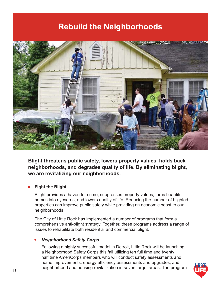# **Rebuild the Neighborhoods**



**Blight threatens public safety, lowers property values, holds back neighborhoods, and degrades quality of life. By eliminating blight, we are revitalizing our neighborhoods.**

# **Fight the Blight**

Blight provides a haven for crime, suppresses property values, turns beautiful homes into eyesores, and lowers quality of life. Reducing the number of blighted properties can improve public safety while providing an economic boost to our neighborhoods.

The City of Little Rock has implemented a number of programs that form a comprehensive anti-blight strategy. Together, these programs address a range of issues to rehabilitate both residential and commercial blight.

# *Neighborhood Safety Corps*

 Following a highly successful model in Detroit, Little Rock will be launching a Neighborhood Safety Corps this fall utilizing ten full time and twenty half time AmeriCorps members who will conduct safety assessments and home improvements; energy efficiency assessments and upgrades; and neighborhood and housing revitalization in seven target areas. The program

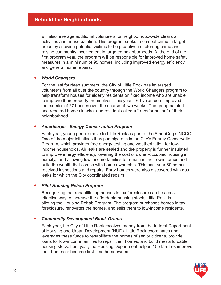will also leverage additional volunteers for neighborhood-wide cleanup activities and house painting. This program seeks to combat crime in target areas by allowing potential victims to be proactive in deterring crime and raising community involvement in targeted neighborhoods. At the end of the first program year, the program will be responsible for improved home safety measures in a minimum of 95 homes, including improved energy efficiency and general home repairs.

# *World Changers*

 For the last fourteen summers, the City of Little Rock has leveraged volunteers from all over the country through the World Changers program to help transform houses for elderly residents on fixed income who are unable to improve their property themselves. This year, 160 volunteers improved the exterior of 27 houses over the course of two weeks. The group painted and repaired homes in what one resident called a "transformation" of their neighborhood.

# *Americorps - Energy Conservation Program*

 Each year, young people move to Little Rock as part of the AmeriCorps NCCC. One of the major initiatives they participate in is the City's Energy Conservation Program, which provides free energy testing and weatherization for lowincome households. Air leaks are sealed and the property is further insulated to improve energy efficiency, lowering the cost of owner-occupied housing in our city, and allowing low income families to remain in their own homes and build the wealth that comes with home ownership. This past year 60 homes received inspections and repairs. Forty homes were also discovered with gas leaks for which the City coordinated repairs.

# *Pilot Housing Rehab Program*

 Recognizing that rehabilitating houses in tax foreclosure can be a costeffective way to increase the affordable housing stock, Little Rock is piloting the Housing Rehab Program. The program purchases homes in tax foreclosure, renovates the homes, and sells them to low-income residents.

# *Community Development Block Grants*

 Each year, the City of Little Rock receives money from the federal Department of Housing and Urban Development (HUD). Little Rock coordinates and leverages these funds to rehabilitate the homes of senior citizens, provide loans for low-income families to repair their homes, and build new affordable housing stock. Last year, the Housing Department helped 155 families improve their homes or become first-time homeowners.

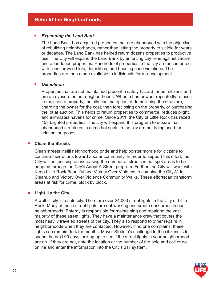# *Expanding the Land Bank*

 The Land Bank has acquired properties that are abandoned with the objective of rebuilding neighborhoods, rather than letting the property to sit idle for years or decades. The Land Bank has helped return dozens properties to productive use. The City will expand the Land Bank by enforcing city liens against vacant and abandoned properties. Hundreds of properties in the city are encumbered with liens for weed lots, demolition, and housing code violations. The properties are then made available to individuals for re-development.

# *Demolition*

 Properties that are not maintained present a safety hazard for our citizens and are an eyesore on our neighborhoods. When a homeowner repeatedly refuses to maintain a property, the city has the option of demolishing the structure, charging the owner for the cost, then foreclosing on the property, or purchasing the lot at auction. This helps to return properties to commerce, reduces blight, and eliminates havens for crime. Since 2011, the City of Little Rock has razed 453 blighted properties. The city will expand this program to ensure that abandoned structures in crime hot spots in the city are not being used for criminal purposes.

# ■ **Clean the Streets**

Clean streets instill neighborhood pride and help bolster morale for citizens to continue their efforts toward a safer community. In order to support this effort, the City will be focusing on increasing the number of streets in hot spot areas to be adopted through the City's Adopt-A-Street program. Further, the City will work with Keep Little Rock Beautiful and Victory Over Violence to combine the CityWide Cleanup and Victory Over Violence Community Walks. These effortscan transform areas at risk for crime, block by block.

# ■ Light Up the City

A well-lit city is a safe city. There are over 24,000 street lights in the City of Little Rock. Many of these street lights are not working and create dark areas in our neighborhoods. Entergy is responsible for maintaining and repairing the vast majority of these street lights. They have a maintenance crew that covers the most heavily traveled streets of the city. They also respond to other repairs in neighborhoods when they are contacted. However, if no one complains, these lights can remain dark for months. Mayor Stodola's challenge to the citizens is to spend the next 90 days looking up to see if the street lights in your neighborhood are on. If they are not, note the location or the number of the pole and call or go online and enter the information into the City's 311 system.

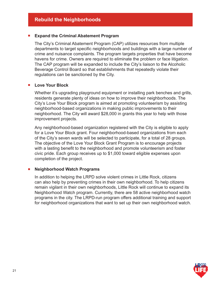# ■ **Expand the Criminal Abatement Program**

The City's Criminal Abatement Program (CAP) utilizes resources from multiple departments to target specific neighborhoods and buildings with a large number of crime and nuisance complaints. The program targets properties that have become havens for crime. Owners are required to eliminate the problem or face litigation. The CAP program will be expanded to include the City's liaison to the Alcoholic Beverage Control Board so that establishments that repeatedly violate their regulations can be sanctioned by the City.

# ■ Love Your Block

Whether it's upgrading playground equipment or installing park benches and grills, residents generate plenty of ideas on how to improve their neighborhoods. The City's Love Your Block program is aimed at promoting volunteerism by assisting neighborhood-based organizations in making public improvements to their neighborhood. The City will award \$28,000 in grants this year to help with those improvement projects.

Any neighborhood-based organization registered with the City is eligible to apply for a Love Your Block grant. Four neighborhood-based organizations from each of the City's seven wards will be selected to participate, for a total of 28 groups. The objective of the Love Your Block Grant Program is to encourage projects with a lasting benefit to the neighborhood and promote volunteerism and foster civic pride. Each group receives up to \$1,000 toward eligible expenses upon completion of the project.

# **Neighborhood Watch Programs**

In addition to helping the LRPD solve violent crimes in Little Rock, citizens can also help by preventing crimes in their own neighborhood. To help citizens remain vigilant in their own neighborhoods, Little Rock will continue to expand its Neighborhood Watch program. Currently, there are 58 active neighborhood watch programs in the city. The LRPD-run program offers additional training and support for neighborhood organizations that want to set up their own neighborhood watch.